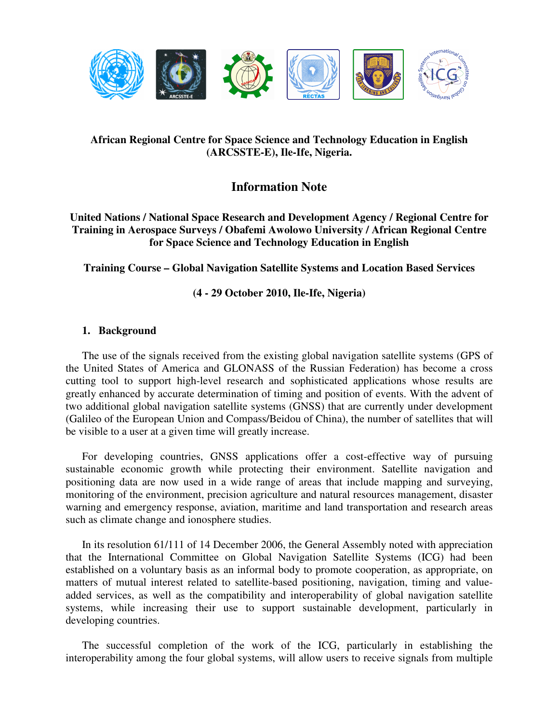

# **African Regional Centre for Space Science and Technology Education in English (ARCSSTE-E), Ile-Ife, Nigeria.**

# **Information Note**

# **United Nations / National Space Research and Development Agency / Regional Centre for Training in Aerospace Surveys / Obafemi Awolowo University / African Regional Centre for Space Science and Technology Education in English**

**Training Course – Global Navigation Satellite Systems and Location Based Services** 

**(4 - 29 October 2010, Ile-Ife, Nigeria)** 

# **1. Background**

The use of the signals received from the existing global navigation satellite systems (GPS of the United States of America and GLONASS of the Russian Federation) has become a cross cutting tool to support high-level research and sophisticated applications whose results are greatly enhanced by accurate determination of timing and position of events. With the advent of two additional global navigation satellite systems (GNSS) that are currently under development (Galileo of the European Union and Compass/Beidou of China), the number of satellites that will be visible to a user at a given time will greatly increase.

For developing countries, GNSS applications offer a cost-effective way of pursuing sustainable economic growth while protecting their environment. Satellite navigation and positioning data are now used in a wide range of areas that include mapping and surveying, monitoring of the environment, precision agriculture and natural resources management, disaster warning and emergency response, aviation, maritime and land transportation and research areas such as climate change and ionosphere studies.

In its resolution 61/111 of 14 December 2006, the General Assembly noted with appreciation that the International Committee on Global Navigation Satellite Systems (ICG) had been established on a voluntary basis as an informal body to promote cooperation, as appropriate, on matters of mutual interest related to satellite-based positioning, navigation, timing and valueadded services, as well as the compatibility and interoperability of global navigation satellite systems, while increasing their use to support sustainable development, particularly in developing countries.

The successful completion of the work of the ICG, particularly in establishing the interoperability among the four global systems, will allow users to receive signals from multiple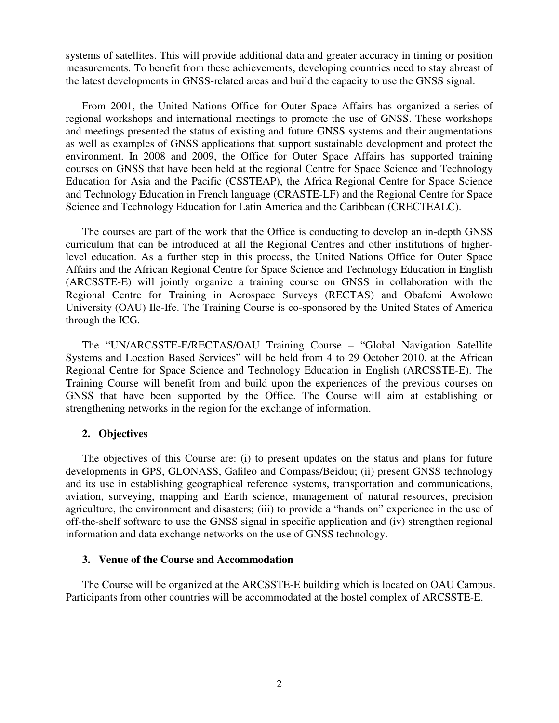systems of satellites. This will provide additional data and greater accuracy in timing or position measurements. To benefit from these achievements, developing countries need to stay abreast of the latest developments in GNSS-related areas and build the capacity to use the GNSS signal.

From 2001, the United Nations Office for Outer Space Affairs has organized a series of regional workshops and international meetings to promote the use of GNSS. These workshops and meetings presented the status of existing and future GNSS systems and their augmentations as well as examples of GNSS applications that support sustainable development and protect the environment. In 2008 and 2009, the Office for Outer Space Affairs has supported training courses on GNSS that have been held at the regional Centre for Space Science and Technology Education for Asia and the Pacific (CSSTEAP), the Africa Regional Centre for Space Science and Technology Education in French language (CRASTE-LF) and the Regional Centre for Space Science and Technology Education for Latin America and the Caribbean (CRECTEALC).

The courses are part of the work that the Office is conducting to develop an in-depth GNSS curriculum that can be introduced at all the Regional Centres and other institutions of higherlevel education. As a further step in this process, the United Nations Office for Outer Space Affairs and the African Regional Centre for Space Science and Technology Education in English (ARCSSTE-E) will jointly organize a training course on GNSS in collaboration with the Regional Centre for Training in Aerospace Surveys (RECTAS) and Obafemi Awolowo University (OAU) Ile-Ife. The Training Course is co-sponsored by the United States of America through the ICG.

The "UN/ARCSSTE-E/RECTAS/OAU Training Course – "Global Navigation Satellite Systems and Location Based Services" will be held from 4 to 29 October 2010, at the African Regional Centre for Space Science and Technology Education in English (ARCSSTE-E). The Training Course will benefit from and build upon the experiences of the previous courses on GNSS that have been supported by the Office. The Course will aim at establishing or strengthening networks in the region for the exchange of information.

#### **2. Objectives**

The objectives of this Course are: (i) to present updates on the status and plans for future developments in GPS, GLONASS, Galileo and Compass/Beidou; (ii) present GNSS technology and its use in establishing geographical reference systems, transportation and communications, aviation, surveying, mapping and Earth science, management of natural resources, precision agriculture, the environment and disasters; (iii) to provide a "hands on" experience in the use of off-the-shelf software to use the GNSS signal in specific application and (iv) strengthen regional information and data exchange networks on the use of GNSS technology.

#### **3. Venue of the Course and Accommodation**

The Course will be organized at the ARCSSTE-E building which is located on OAU Campus. Participants from other countries will be accommodated at the hostel complex of ARCSSTE-E.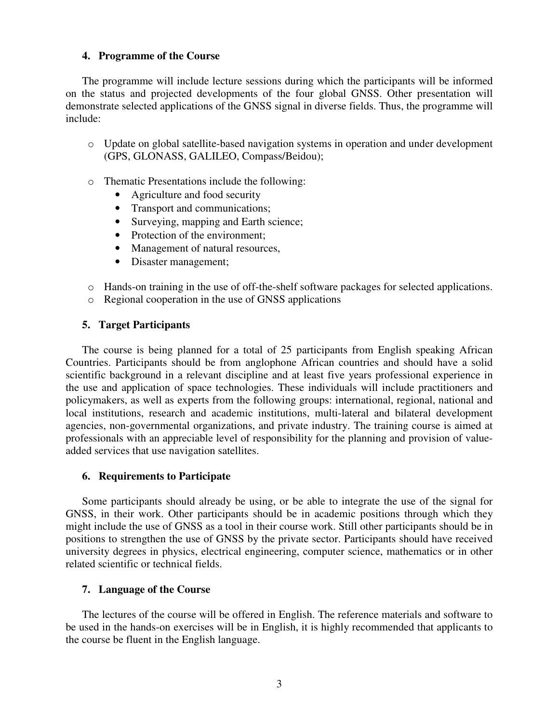## **4. Programme of the Course**

The programme will include lecture sessions during which the participants will be informed on the status and projected developments of the four global GNSS. Other presentation will demonstrate selected applications of the GNSS signal in diverse fields. Thus, the programme will include:

- o Update on global satellite-based navigation systems in operation and under development (GPS, GLONASS, GALILEO, Compass/Beidou);
- o Thematic Presentations include the following:
	- Agriculture and food security
	- Transport and communications;
	- Surveying, mapping and Earth science;
	- Protection of the environment;
	- Management of natural resources,
	- Disaster management;
- o Hands-on training in the use of off-the-shelf software packages for selected applications.
- o Regional cooperation in the use of GNSS applications

## **5. Target Participants**

The course is being planned for a total of 25 participants from English speaking African Countries. Participants should be from anglophone African countries and should have a solid scientific background in a relevant discipline and at least five years professional experience in the use and application of space technologies. These individuals will include practitioners and policymakers, as well as experts from the following groups: international, regional, national and local institutions, research and academic institutions, multi-lateral and bilateral development agencies, non-governmental organizations, and private industry. The training course is aimed at professionals with an appreciable level of responsibility for the planning and provision of valueadded services that use navigation satellites.

#### **6. Requirements to Participate**

Some participants should already be using, or be able to integrate the use of the signal for GNSS, in their work. Other participants should be in academic positions through which they might include the use of GNSS as a tool in their course work. Still other participants should be in positions to strengthen the use of GNSS by the private sector. Participants should have received university degrees in physics, electrical engineering, computer science, mathematics or in other related scientific or technical fields.

## **7. Language of the Course**

The lectures of the course will be offered in English. The reference materials and software to be used in the hands-on exercises will be in English, it is highly recommended that applicants to the course be fluent in the English language.